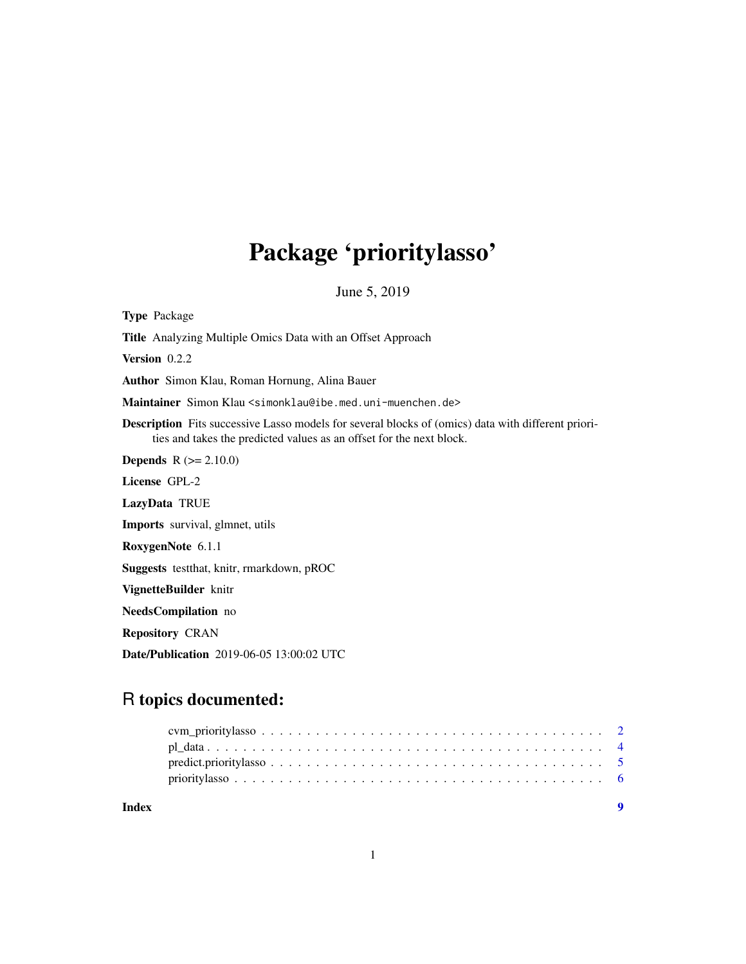## Package 'prioritylasso'

June 5, 2019

<span id="page-0-0"></span>Type Package Title Analyzing Multiple Omics Data with an Offset Approach Version 0.2.2 Author Simon Klau, Roman Hornung, Alina Bauer Maintainer Simon Klau <simonklau@ibe.med.uni-muenchen.de> Description Fits successive Lasso models for several blocks of (omics) data with different priorities and takes the predicted values as an offset for the next block. **Depends**  $R (= 2.10.0)$ License GPL-2 LazyData TRUE Imports survival, glmnet, utils RoxygenNote 6.1.1 Suggests testthat, knitr, rmarkdown, pROC VignetteBuilder knitr NeedsCompilation no Repository CRAN Date/Publication 2019-06-05 13:00:02 UTC

### R topics documented:

| Index |  |  |  |  |  |  |  |  |  |  |  |  |  |  |  |  |  |
|-------|--|--|--|--|--|--|--|--|--|--|--|--|--|--|--|--|--|
|       |  |  |  |  |  |  |  |  |  |  |  |  |  |  |  |  |  |
|       |  |  |  |  |  |  |  |  |  |  |  |  |  |  |  |  |  |
|       |  |  |  |  |  |  |  |  |  |  |  |  |  |  |  |  |  |
|       |  |  |  |  |  |  |  |  |  |  |  |  |  |  |  |  |  |

1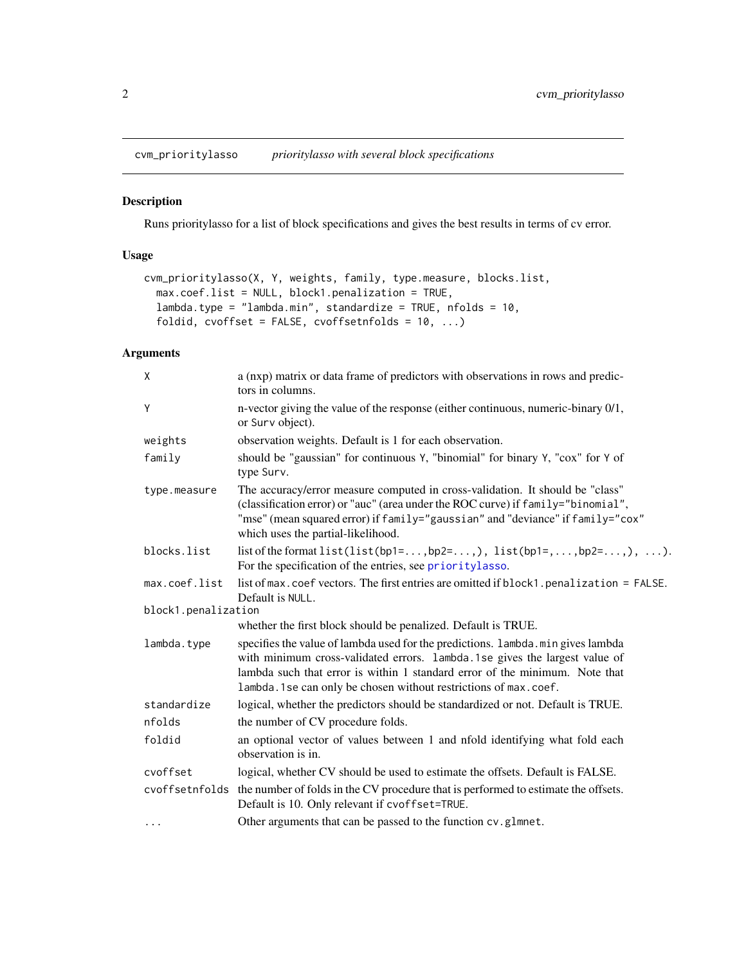<span id="page-1-1"></span><span id="page-1-0"></span>cvm\_prioritylasso *prioritylasso with several block specifications*

#### Description

Runs prioritylasso for a list of block specifications and gives the best results in terms of cv error.

#### Usage

```
cvm_prioritylasso(X, Y, weights, family, type.measure, blocks.list,
 max.coef.list = NULL, block1.penalization = TRUE,
 lambda.type = "lambda.min", standardize = TRUE, nfolds = 10,
  foldid, cvoffset = FALSE, cvoffsetnfolds = 10, ...)
```
#### Arguments

| X                   | a (nxp) matrix or data frame of predictors with observations in rows and predic-<br>tors in columns.                                                                                                                                                                                                               |
|---------------------|--------------------------------------------------------------------------------------------------------------------------------------------------------------------------------------------------------------------------------------------------------------------------------------------------------------------|
| Y                   | n-vector giving the value of the response (either continuous, numeric-binary 0/1,<br>or Surv object).                                                                                                                                                                                                              |
| weights             | observation weights. Default is 1 for each observation.                                                                                                                                                                                                                                                            |
| family              | should be "gaussian" for continuous Y, "binomial" for binary Y, "cox" for Y of<br>type Surv.                                                                                                                                                                                                                       |
| type.measure        | The accuracy/error measure computed in cross-validation. It should be "class"<br>(classification error) or "auc" (area under the ROC curve) if family="binomial",<br>"mse" (mean squared error) if family="gaussian" and "deviance" if family="cox"<br>which uses the partial-likelihood.                          |
| blocks.list         | list of the format $list(list(bp1=, bp2=), list(bp1=,,bp2=), ).$<br>For the specification of the entries, see prioritylasso.                                                                                                                                                                                       |
| max.coef.list       | list of max. coef vectors. The first entries are omitted if block1. penalization = FALSE.<br>Default is NULL.                                                                                                                                                                                                      |
| block1.penalization |                                                                                                                                                                                                                                                                                                                    |
|                     | whether the first block should be penalized. Default is TRUE.                                                                                                                                                                                                                                                      |
| lambda.type         | specifies the value of lambda used for the predictions. Lambda.min gives lambda<br>with minimum cross-validated errors. lambda.1se gives the largest value of<br>lambda such that error is within 1 standard error of the minimum. Note that<br>lambda. 1 se can only be chosen without restrictions of max. coef. |
| standardize         | logical, whether the predictors should be standardized or not. Default is TRUE.                                                                                                                                                                                                                                    |
| nfolds              | the number of CV procedure folds.                                                                                                                                                                                                                                                                                  |
| foldid              | an optional vector of values between 1 and nfold identifying what fold each<br>observation is in.                                                                                                                                                                                                                  |
| cvoffset            | logical, whether CV should be used to estimate the offsets. Default is FALSE.                                                                                                                                                                                                                                      |
|                     | cvoffsetnfolds the number of folds in the CV procedure that is performed to estimate the offsets.<br>Default is 10. Only relevant if cvoffset=TRUE.                                                                                                                                                                |
| $\cdots$            | Other arguments that can be passed to the function cv.glmnet.                                                                                                                                                                                                                                                      |
|                     |                                                                                                                                                                                                                                                                                                                    |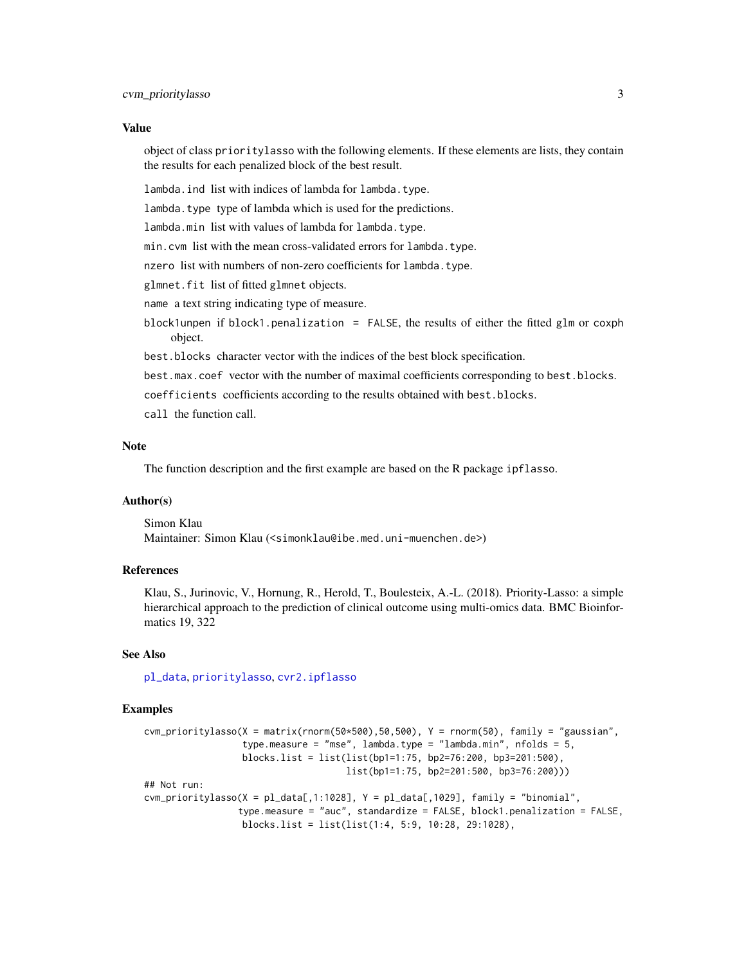#### <span id="page-2-0"></span>Value

object of class prioritylasso with the following elements. If these elements are lists, they contain the results for each penalized block of the best result.

lambda.ind list with indices of lambda for lambda.type.

lambda.type type of lambda which is used for the predictions.

lambda.min list with values of lambda for lambda.type.

min.cvm list with the mean cross-validated errors for lambda.type.

nzero list with numbers of non-zero coefficients for lambda.type.

glmnet.fit list of fitted glmnet objects.

name a text string indicating type of measure.

block1unpen if block1.penalization = FALSE, the results of either the fitted glm or coxph object.

best.blocks character vector with the indices of the best block specification.

best.max.coef vector with the number of maximal coefficients corresponding to best.blocks.

coefficients coefficients according to the results obtained with best.blocks.

call the function call.

#### Note

The function description and the first example are based on the R package ipflasso.

#### Author(s)

Simon Klau Maintainer: Simon Klau (<simonklau@ibe.med.uni-muenchen.de>)

#### References

Klau, S., Jurinovic, V., Hornung, R., Herold, T., Boulesteix, A.-L. (2018). Priority-Lasso: a simple hierarchical approach to the prediction of clinical outcome using multi-omics data. BMC Bioinformatics 19, 322

#### See Also

[pl\\_data](#page-3-1), [prioritylasso](#page-5-1), [cvr2.ipflasso](#page-0-0)

#### Examples

```
cvm_prioritylasso(X = matrix(rnorm(50*500),50,500), Y = rnorm(50), family = "gaussian",
                  type.measure = "mse", lambda.type = "lambda.min", nfolds = 5,
                  blocks.list = list(list(bp1=1:75, bp2=76:200, bp3=201:500),
                                     list(bp1=1:75, bp2=201:500, bp3=76:200)))
## Not run:
cvm_prioritylasso(X = pl\_data[, 1:1028], Y = pl\_data[, 1029], family = "binomial",type.measure = "auc", standardize = FALSE, block1.penalization = FALSE,
                  blocks.list = list(list(1:4, 5:9, 10:28, 29:1028),
```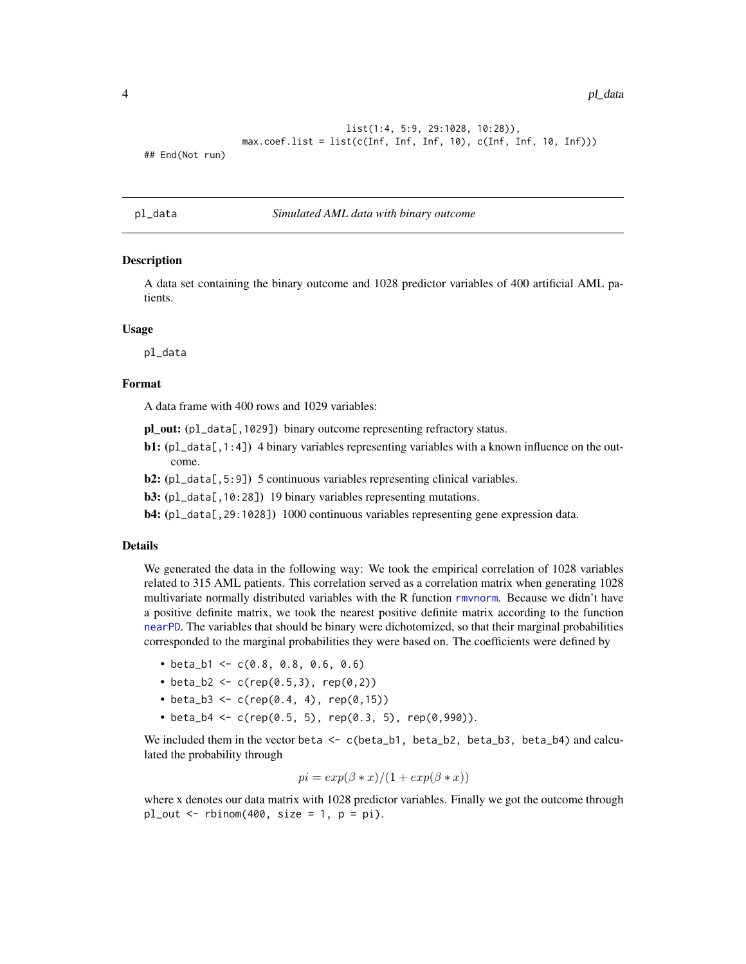<span id="page-3-0"></span>4 pl\_data

```
list(1:4, 5:9, 29:1028, 10:28)),
max.coef.list = list(c(Inf, Inf, Inf, 10), c(Inf, Inf, 10, Inf)))
```
## End(Not run)

#### <span id="page-3-1"></span>pl\_data *Simulated AML data with binary outcome*

#### Description

A data set containing the binary outcome and 1028 predictor variables of 400 artificial AML patients.

#### Usage

pl\_data

#### Format

A data frame with 400 rows and 1029 variables:

pl\_out: (pl\_data[,1029]) binary outcome representing refractory status.

- **b1:** (pl\_data[,1:4]) 4 binary variables representing variables with a known influence on the outcome.
- b2: (pl\_data[,5:9]) 5 continuous variables representing clinical variables.
- b3: (pl\_data[,10:28]) 19 binary variables representing mutations.
- b4: (pl\_data[,29:1028]) 1000 continuous variables representing gene expression data.

#### Details

We generated the data in the following way: We took the empirical correlation of 1028 variables related to 315 AML patients. This correlation served as a correlation matrix when generating 1028 multivariate normally distributed variables with the R function [rmvnorm](#page-0-0). Because we didn't have a positive definite matrix, we took the nearest positive definite matrix according to the function [nearPD](#page-0-0). The variables that should be binary were dichotomized, so that their marginal probabilities corresponded to the marginal probabilities they were based on. The coefficients were defined by

- beta\_b1 <-  $c(0.8, 0.8, 0.6, 0.6)$
- beta\_b2 <- c(rep(0.5,3), rep(0,2))
- beta\_b3 <- c(rep(0.4, 4), rep(0,15))
- beta\_b4 <- c(rep(0.5, 5), rep(0.3, 5), rep(0,990)).

We included them in the vector beta  $\leq -c$  (beta\_b1, beta\_b2, beta\_b3, beta\_b4) and calculated the probability through

$$
pi = exp(\beta * x)/(1 + exp(\beta * x))
$$

where x denotes our data matrix with 1028 predictor variables. Finally we got the outcome through  $pl\_out \leq rbinom(400, size = 1, p = pi)$ .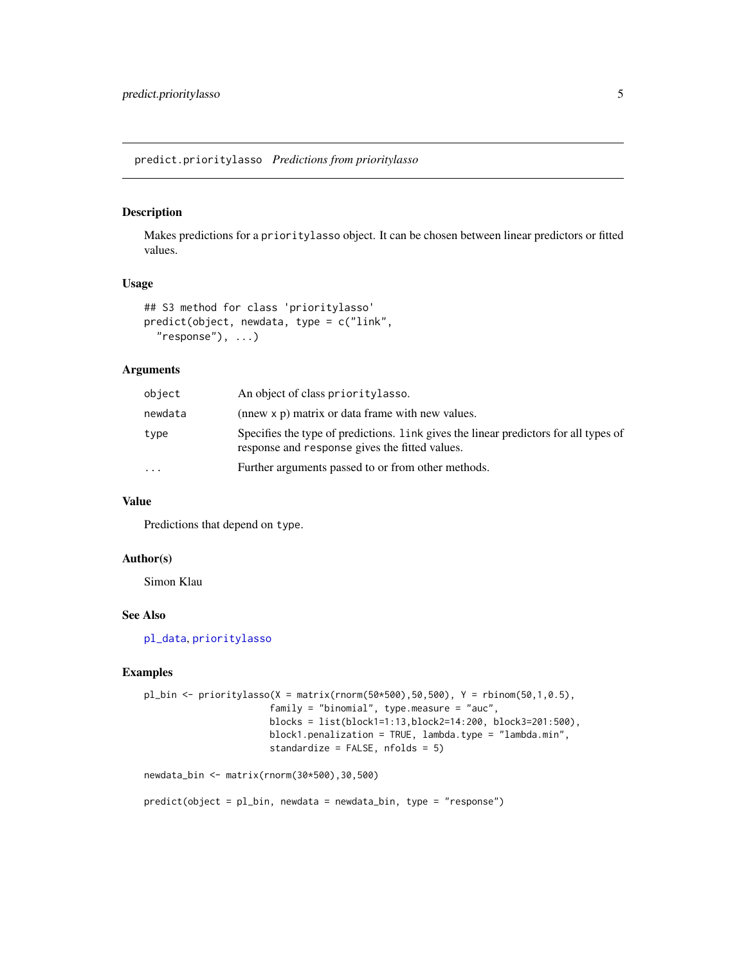<span id="page-4-0"></span>predict.prioritylasso *Predictions from prioritylasso*

#### Description

Makes predictions for a prioritylasso object. It can be chosen between linear predictors or fitted values.

#### Usage

```
## S3 method for class 'prioritylasso'
predict(object, newdata, type = c("link",
  "response", ...)
```
#### Arguments

| object   | An object of class priority lasso.                                                                                                     |
|----------|----------------------------------------------------------------------------------------------------------------------------------------|
| newdata  | (nnew x p) matrix or data frame with new values.                                                                                       |
| type     | Specifies the type of predictions. Link gives the linear predictors for all types of<br>response and response gives the fitted values. |
| $\cdots$ | Further arguments passed to or from other methods.                                                                                     |

#### Value

Predictions that depend on type.

#### Author(s)

Simon Klau

#### See Also

[pl\\_data](#page-3-1), [prioritylasso](#page-5-1)

#### Examples

```
pl_bin <- prioritylasso(X = matrix(rnorm(50*500),50,500), Y = rbinom(50,1,0.5),
                       family = "binomial", type.measure = "auc",
                       blocks = list(block1=1:13,block2=14:200, block3=201:500),
                       block1.penalization = TRUE, lambda.type = "lambda.min",
                       standardize = FALSE, nfolds = 5)
```
newdata\_bin <- matrix(rnorm(30\*500),30,500)

predict(object = pl\_bin, newdata = newdata\_bin, type = "response")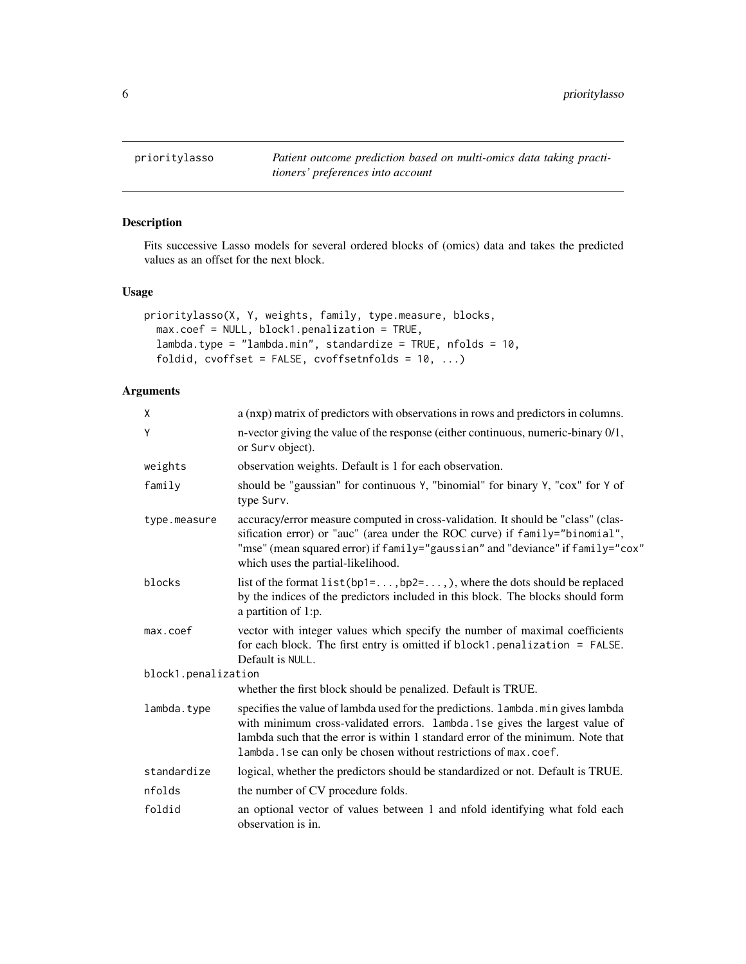<span id="page-5-1"></span><span id="page-5-0"></span>prioritylasso *Patient outcome prediction based on multi-omics data taking practitioners' preferences into account*

#### Description

Fits successive Lasso models for several ordered blocks of (omics) data and takes the predicted values as an offset for the next block.

#### Usage

```
prioritylasso(X, Y, weights, family, type.measure, blocks,
 max.coef = NULL, block1.penalization = TRUE,
  lambda.type = "lambda.min", standardize = TRUE, nfolds = 10,
  foldid, cvoffset = FALSE, cvoffsetnfolds = 10, ...)
```
#### Arguments

| X                   | a (nxp) matrix of predictors with observations in rows and predictors in columns.                                                                                                                                                                                                                                       |
|---------------------|-------------------------------------------------------------------------------------------------------------------------------------------------------------------------------------------------------------------------------------------------------------------------------------------------------------------------|
| Υ                   | n-vector giving the value of the response (either continuous, numeric-binary 0/1,<br>or Surv object).                                                                                                                                                                                                                   |
| weights             | observation weights. Default is 1 for each observation.                                                                                                                                                                                                                                                                 |
| family              | should be "gaussian" for continuous Y, "binomial" for binary Y, "cox" for Y of<br>type Surv.                                                                                                                                                                                                                            |
| type.measure        | accuracy/error measure computed in cross-validation. It should be "class" (clas-<br>sification error) or "auc" (area under the ROC curve) if family="binomial",<br>"mse" (mean squared error) if family="gaussian" and "deviance" if family="cox"<br>which uses the partial-likelihood.                                 |
| blocks              | list of the format $list(bp1=,bp2=),$ where the dots should be replaced<br>by the indices of the predictors included in this block. The blocks should form<br>a partition of 1:p.                                                                                                                                       |
| max.coef            | vector with integer values which specify the number of maximal coefficients<br>for each block. The first entry is omitted if block1.penalization = FALSE.<br>Default is NULL.                                                                                                                                           |
| block1.penalization |                                                                                                                                                                                                                                                                                                                         |
|                     | whether the first block should be penalized. Default is TRUE.                                                                                                                                                                                                                                                           |
| lambda.type         | specifies the value of lambda used for the predictions. Lambda. min gives lambda<br>with minimum cross-validated errors. lambda.1se gives the largest value of<br>lambda such that the error is within 1 standard error of the minimum. Note that<br>lambda. 1 se can only be chosen without restrictions of max. coef. |
| standardize         | logical, whether the predictors should be standardized or not. Default is TRUE.                                                                                                                                                                                                                                         |
| nfolds              | the number of CV procedure folds.                                                                                                                                                                                                                                                                                       |
| foldid              | an optional vector of values between 1 and nfold identifying what fold each<br>observation is in.                                                                                                                                                                                                                       |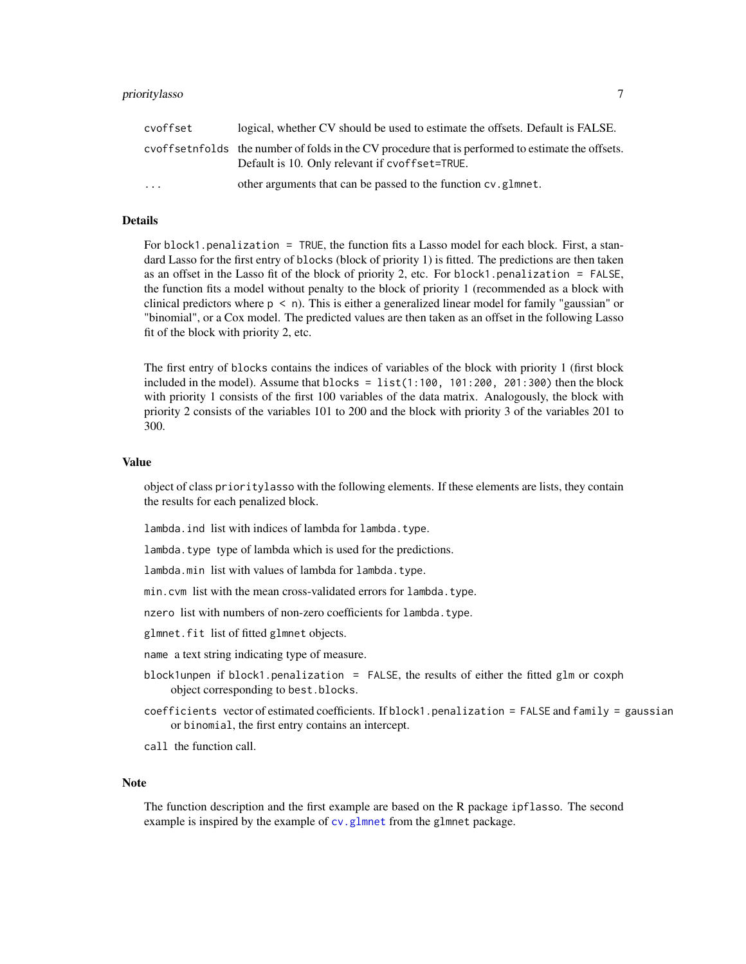<span id="page-6-0"></span>

| cvoffset  | logical, whether CV should be used to estimate the offsets. Default is FALSE.                                                                         |
|-----------|-------------------------------------------------------------------------------------------------------------------------------------------------------|
|           | cvoffset infolds the number of folds in the CV procedure that is performed to estimate the offsets.<br>Default is 10. Only relevant if cvoffset=TRUE. |
| $\ddotsc$ | other arguments that can be passed to the function cv. glmnet.                                                                                        |

#### Details

For block1.penalization = TRUE, the function fits a Lasso model for each block. First, a standard Lasso for the first entry of blocks (block of priority 1) is fitted. The predictions are then taken as an offset in the Lasso fit of the block of priority 2, etc. For block1.penalization = FALSE, the function fits a model without penalty to the block of priority 1 (recommended as a block with clinical predictors where  $p \le n$ ). This is either a generalized linear model for family "gaussian" or "binomial", or a Cox model. The predicted values are then taken as an offset in the following Lasso fit of the block with priority 2, etc.

The first entry of blocks contains the indices of variables of the block with priority 1 (first block included in the model). Assume that blocks =  $list(1:100, 101:200, 201:300)$  then the block with priority 1 consists of the first 100 variables of the data matrix. Analogously, the block with priority 2 consists of the variables 101 to 200 and the block with priority 3 of the variables 201 to 300.

#### Value

object of class prioritylasso with the following elements. If these elements are lists, they contain the results for each penalized block.

lambda. ind list with indices of lambda for lambda. type.

lambda.type type of lambda which is used for the predictions.

- lambda.min list with values of lambda for lambda.type.
- min.cvm list with the mean cross-validated errors for lambda.type.
- nzero list with numbers of non-zero coefficients for lambda.type.

glmnet.fit list of fitted glmnet objects.

- name a text string indicating type of measure.
- block1unpen if block1.penalization = FALSE, the results of either the fitted glm or coxph object corresponding to best.blocks.
- coefficients vector of estimated coefficients. If block1.penalization = FALSE and family = gaussian or binomial, the first entry contains an intercept.
- call the function call.

#### Note

The function description and the first example are based on the R package ipflasso. The second example is inspired by the example of [cv.glmnet](#page-0-0) from the glmnet package.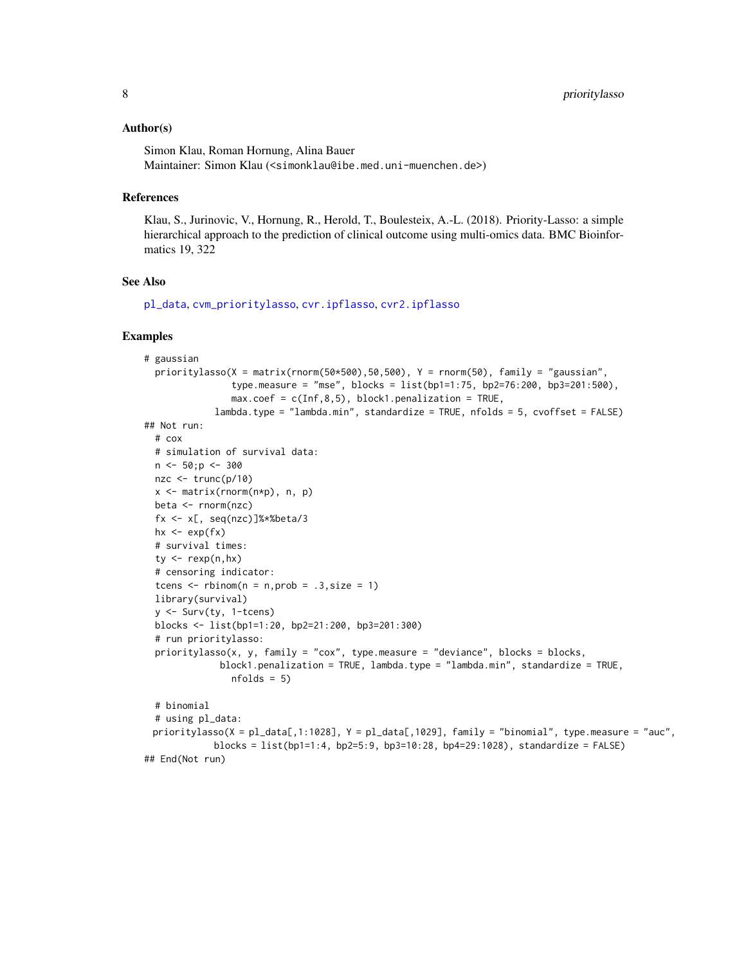#### <span id="page-7-0"></span>Author(s)

Simon Klau, Roman Hornung, Alina Bauer Maintainer: Simon Klau (<simonklau@ibe.med.uni-muenchen.de>)

#### **References**

Klau, S., Jurinovic, V., Hornung, R., Herold, T., Boulesteix, A.-L. (2018). Priority-Lasso: a simple hierarchical approach to the prediction of clinical outcome using multi-omics data. BMC Bioinformatics 19, 322

#### See Also

[pl\\_data](#page-3-1), [cvm\\_prioritylasso](#page-1-1), [cvr.ipflasso](#page-0-0), [cvr2.ipflasso](#page-0-0)

#### Examples

```
# gaussian
 prioritylasso(X = matrix(rnorm(50*500),50,500), Y = rnorm(50), family = "gaussian",
                type.measure = "mse", blocks = list(bp1=1:75, bp2=76:200, bp3=201:500),
                max.coef = c(Inf, 8, 5), block1.penalization = TRUE,
             lambda.type = "lambda.min", standardize = TRUE, nfolds = 5, cvoffset = FALSE)
## Not run:
 # cox
 # simulation of survival data:
 n \le -50; p \le -300nze < -true(p/10)x <- matrix(rnorm(n*p), n, p)
 beta <- rnorm(nzc)
 fx <- x[, seq(nzc)]%*%beta/3
 hx \leftarrow exp(fx)
 # survival times:
 ty \leq -\text{resp}(n,hx)# censoring indicator:
 tcens \le rbinom(n = n, prob = .3, size = 1)
 library(survival)
 y <- Surv(ty, 1-tcens)
 blocks <- list(bp1=1:20, bp2=21:200, bp3=201:300)
 # run prioritylasso:
 prioritylasso(x, y, family = "cox", type.measure = "deviance", blocks = blocks,
              block1.penalization = TRUE, lambda.type = "lambda.min", standardize = TRUE,
                nfolds = 5# binomial
 # using pl_data:
 prioritylasso(X = pl_data[,1:1028], Y = pl_data[,1029], family = "binomial", type.measure = "auc",
             blocks = list(bp1=1:4, bp2=5:9, bp3=10:28, bp4=29:1028), standardize = FALSE)
## End(Not run)
```